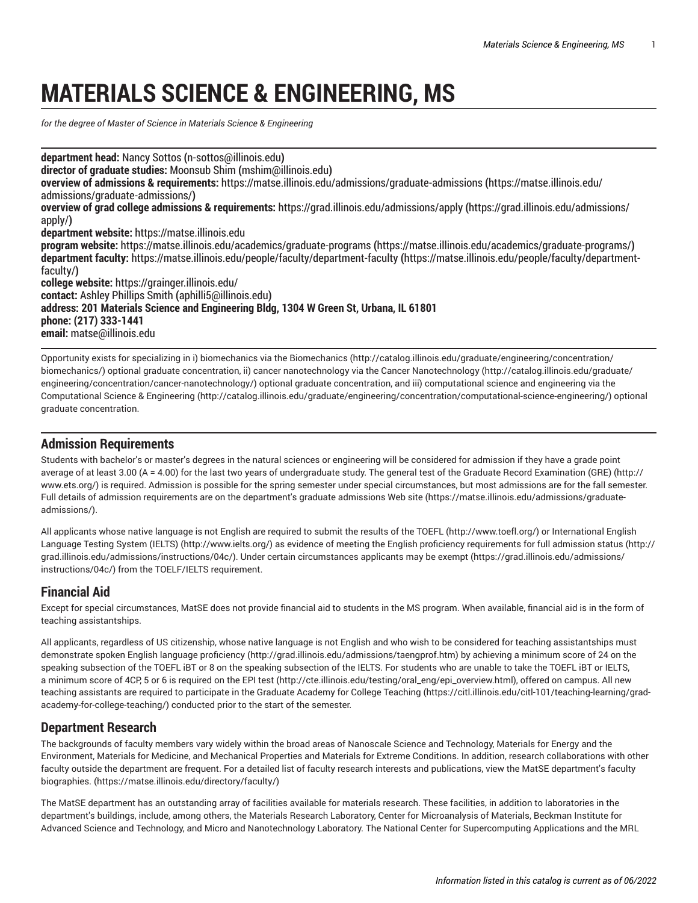# **MATERIALS SCIENCE & ENGINEERING, MS**

*for the degree of Master of Science in Materials Science & Engineering*

**department head:** Nancy [Sottos](mailto:n-sottos@illinois.edu) **(**<n-sottos@illinois.edu>**) director of graduate studies:** [Moonsub Shim](mailto:mshim@illinois.edu) **(**<mshim@illinois.edu>**) overview of admissions & requirements:** [https://matse.illinois.edu/admissions/graduate-admissions](https://matse.illinois.edu/admissions/graduate-admissions/) **(**[https://matse.illinois.edu/](https://matse.illinois.edu/admissions/graduate-admissions/) [admissions/graduate-admissions/](https://matse.illinois.edu/admissions/graduate-admissions/)**) overview of grad college admissions & requirements:** [https://grad.illinois.edu/admissions/apply](https://grad.illinois.edu/admissions/apply/) **(**[https://grad.illinois.edu/admissions/](https://grad.illinois.edu/admissions/apply/) [apply/](https://grad.illinois.edu/admissions/apply/)**) department website:** <https://matse.illinois.edu> **program website:** [https://matse.illinois.edu/academics/graduate-programs](https://matse.illinois.edu/academics/graduate-programs/) **(**<https://matse.illinois.edu/academics/graduate-programs/>**) department faculty:** [https://matse.illinois.edu/people/faculty/department-faculty](https://matse.illinois.edu/people/faculty/department-faculty/) **(**[https://matse.illinois.edu/people/faculty/department](https://matse.illinois.edu/people/faculty/department-faculty/)[faculty/](https://matse.illinois.edu/people/faculty/department-faculty/)**) college website:** <https://grainger.illinois.edu/> **contact:** Ashley [Phillips](mailto:aphilli5@illinois.edu) Smith **(**<aphilli5@illinois.edu>**) address: 201 Materials Science and Engineering Bldg, 1304 W Green St, Urbana, IL 61801 phone: (217) 333-1441 email:** [matse@illinois.edu](mailto:matse@illinois.edu)

Opportunity exists for specializing in i) biomechanics via the [Biomechanics](http://catalog.illinois.edu/graduate/engineering/concentration/biomechanics/) ([http://catalog.illinois.edu/graduate/engineering/concentration/](http://catalog.illinois.edu/graduate/engineering/concentration/biomechanics/) [biomechanics/\)](http://catalog.illinois.edu/graduate/engineering/concentration/biomechanics/) optional graduate concentration, ii) cancer nanotechnology via the [Cancer Nanotechnology \(http://catalog.illinois.edu/graduate/](http://catalog.illinois.edu/graduate/engineering/concentration/cancer-nanotechnology/) [engineering/concentration/cancer-nanotechnology/\)](http://catalog.illinois.edu/graduate/engineering/concentration/cancer-nanotechnology/) optional graduate concentration, and iii) computational science and engineering via the [Computational Science & Engineering](http://catalog.illinois.edu/graduate/engineering/concentration/computational-science-engineering/) (<http://catalog.illinois.edu/graduate/engineering/concentration/computational-science-engineering/>) optional graduate concentration.

### **Admission Requirements**

Students with bachelor's or master's degrees in the natural sciences or engineering will be considered for admission if they have a grade point average of at least 3.00 (A = 4.00) for the last two years of undergraduate study. The general test of the Graduate Record [Examination](http://www.ets.org/) (GRE) [\(http://](http://www.ets.org/) [www.ets.org/](http://www.ets.org/)) is required. Admission is possible for the spring semester under special circumstances, but most admissions are for the fall semester. Full details of admission requirements are on the department's graduate [admissions](https://matse.illinois.edu/admissions/graduate-admissions/) Web site ([https://matse.illinois.edu/admissions/graduate](https://matse.illinois.edu/admissions/graduate-admissions/)[admissions/\)](https://matse.illinois.edu/admissions/graduate-admissions/).

All applicants whose native language is not English are required to submit the results of the [TOEFL](http://www.toefl.org/) ([http://www.toefl.org/\)](http://www.toefl.org/) or [International English](http://www.ielts.org/) [Language](http://www.ielts.org/) Testing System (IELTS) [\(http://www.ielts.org/\)](http://www.ielts.org/) as evidence of meeting the English proficiency requirements for [full admission status](http://grad.illinois.edu/admissions/instructions/04c/) ([http://](http://grad.illinois.edu/admissions/instructions/04c/) [grad.illinois.edu/admissions/instructions/04c/](http://grad.illinois.edu/admissions/instructions/04c/)). Under certain circumstances applicants may be [exempt](https://grad.illinois.edu/admissions/instructions/04c/) ([https://grad.illinois.edu/admissions/](https://grad.illinois.edu/admissions/instructions/04c/) [instructions/04c/\)](https://grad.illinois.edu/admissions/instructions/04c/) from the TOELF/IELTS requirement.

## **Financial Aid**

Except for special circumstances, MatSE does not provide financial aid to students in the MS program. When available, financial aid is in the form of teaching assistantships.

All applicants, regardless of US citizenship, whose native language is not English and who wish to be considered for teaching assistantships must demonstrate spoken English language [proficiency](http://grad.illinois.edu/admissions/taengprof.htm) ([http://grad.illinois.edu/admissions/taengprof.htm\)](http://grad.illinois.edu/admissions/taengprof.htm) by achieving a minimum score of 24 on the speaking subsection of the TOEFL iBT or 8 on the speaking subsection of the IELTS. For students who are unable to take the TOEFL iBT or IELTS, a minimum score of 4CP, 5 or 6 is required on the [EPI test \(http://cte.illinois.edu/testing/oral\\_eng/epi\\_overview.html](http://cte.illinois.edu/testing/oral_eng/epi_overview.html)), offered on campus. All new teaching assistants are required to participate in the Graduate [Academy](https://citl.illinois.edu/citl-101/teaching-learning/grad-academy-for-college-teaching/) for College Teaching [\(https://citl.illinois.edu/citl-101/teaching-learning/grad](https://citl.illinois.edu/citl-101/teaching-learning/grad-academy-for-college-teaching/)[academy-for-college-teaching/\)](https://citl.illinois.edu/citl-101/teaching-learning/grad-academy-for-college-teaching/) conducted prior to the start of the semester.

#### **Department Research**

The backgrounds of faculty members vary widely within the broad areas of Nanoscale Science and Technology, Materials for Energy and the Environment, Materials for Medicine, and Mechanical Properties and Materials for Extreme Conditions. In addition, research collaborations with other faculty outside the department are frequent. For a detailed list of faculty research interests and publications, view the MatSE department's [faculty](https://matse.illinois.edu/directory/faculty/) [biographies.](https://matse.illinois.edu/directory/faculty/) [\(https://matse.illinois.edu/directory/faculty/](https://matse.illinois.edu/directory/faculty/))

The MatSE department has an outstanding array of facilities available for materials research. These facilities, in addition to laboratories in the department's buildings, include, among others, the Materials Research Laboratory, Center for Microanalysis of Materials, Beckman Institute for Advanced Science and Technology, and Micro and Nanotechnology Laboratory. The National Center for Supercomputing Applications and the MRL